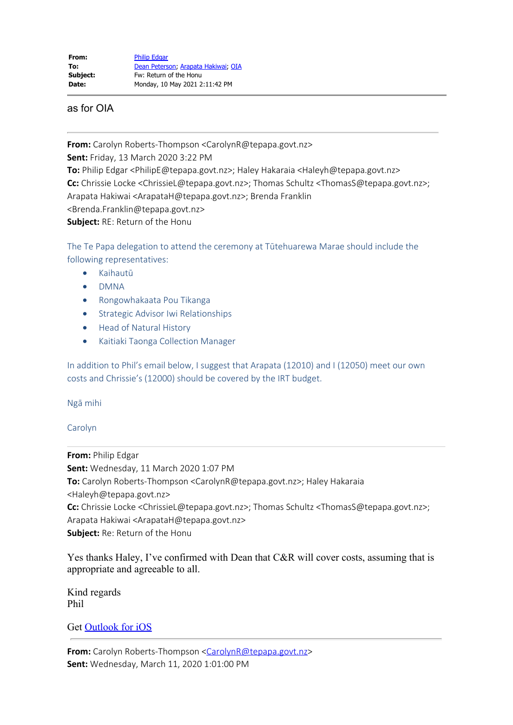as for OIA

**From:** Carolyn Roberts-Thompson <CarolynR@tepapa.govt.nz>

**Sent:** Friday, 13 March 2020 3:22 PM

**To:** Philip Edgar <PhilipE@tepapa.govt.nz>; Haley Hakaraia <Haleyh@tepapa.govt.nz>

**Cc:** Chrissie Locke <ChrissieL@tepapa.govt.nz>; Thomas Schultz <ThomasS@tepapa.govt.nz>;

Arapata Hakiwai <ArapataH@tepapa.govt.nz>; Brenda Franklin

<Brenda.Franklin@tepapa.govt.nz>

**Subject:** RE: Return of the Honu

The Te Papa delegation to attend the ceremony at Tūtehuarewa Marae should include the following representatives:

- · Kaihautū
- · DMNA
- · Rongowhakaata Pou Tikanga
- · Strategic Advisor Iwi Relationships
- **Head of Natural History**
- · Kaitiaki Taonga Collection Manager

In addition to Phil's email below, I suggest that Arapata (12010) and I (12050) meet our own costs and Chrissie's (12000) should be covered by the IRT budget.

Ngā mihi

## Carolyn

**From:** Philip Edgar **Sent:** Wednesday, 11 March 2020 1:07 PM **To:** Carolyn Roberts-Thompson <CarolynR@tepapa.govt.nz>; Haley Hakaraia <Haleyh@tepapa.govt.nz> **Cc:** Chrissie Locke <ChrissieL@tepapa.govt.nz>; Thomas Schultz <ThomasS@tepapa.govt.nz>; Arapata Hakiwai <ArapataH@tepapa.govt.nz> **Subject:** Re: Return of the Honu

Yes thanks Haley, I've confirmed with Dean that C&R will cover costs, assuming that is appropriate and agreeable to all.

Kind regards Phil

Get [Outlook for iOS](https://aka.ms/o0ukef)

From: Carolyn Roberts-Thompson [<CarolynR@tepapa.govt.nz](mailto:CarolynR@tepapa.govt.nz)> **Sent:** Wednesday, March 11, 2020 1:01:00 PM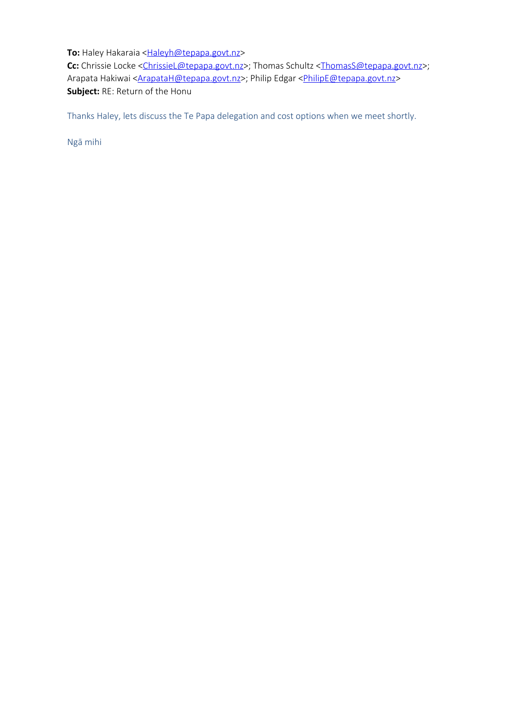**To:** Haley Hakaraia <**Haleyh@tepapa.govt.nz> Cc:** Chrissie Locke <[ChrissieL@tepapa.govt.nz](mailto:ChrissieL@tepapa.govt.nz)>; Thomas Schultz [<ThomasS@tepapa.govt.nz](mailto:ThomasS@tepapa.govt.nz)>; Arapata Hakiwai [<ArapataH@tepapa.govt.nz](mailto:ArapataH@tepapa.govt.nz)>; Philip Edgar <[PhilipE@tepapa.govt.nz](mailto:PhilipE@tepapa.govt.nz)> **Subject:** RE: Return of the Honu

Thanks Haley, lets discuss the Te Papa delegation and cost options when we meet shortly.

Ngā mihi